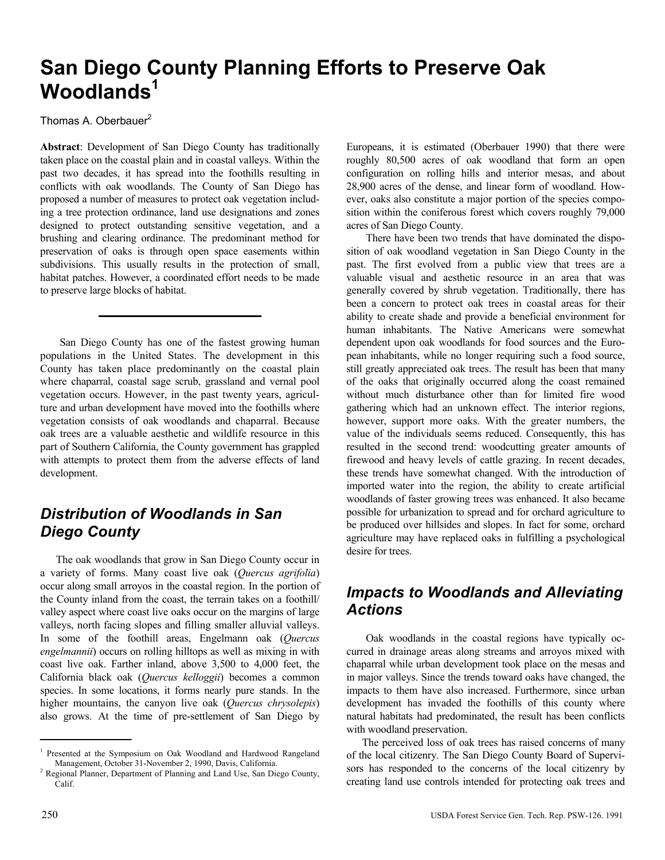# **San Diego County Planning Efforts to Preserve Oak**  Woodlands<sup>1</sup>

Thomas A. Oberbauer<sup>2</sup>

**Abstract**: Development of San Diego County has traditionally taken place on the coastal plain and in coastal valleys. Within the past two decades, it has spread into the foothills resulting in conflicts with oak woodlands. The County of San Diego has proposed a number of measures to protect oak vegetation including a tree protection ordinance, land use designations and zones designed to protect outstanding sensitive vegetation, and a brushing and clearing ordinance. The predominant method for preservation of oaks is through open space easements within subdivisions. This usually results in the protection of small, habitat patches. However, a coordinated effort needs to be made to preserve large blocks of habitat.

San Diego County has one of the fastest growing human populations in the United States. The development in this County has taken place predominantly on the coastal plain where chaparral, coastal sage scrub, grassland and vernal pool vegetation occurs. However, in the past twenty years, agriculture and urban development have moved into the foothills where vegetation consists of oak woodlands and chaparral. Because oak trees are a valuable aesthetic and wildlife resource in this part of Southern California, the County government has grappled with attempts to protect them from the adverse effects of land development.

## *Distribution of Woodlands in San Diego County*

The oak woodlands that grow in San Diego County occur in a variety of forms. Many coast live oak (*Quercus agrifolia*) occur along small arroyos in the coastal region. In the portion of the County inland from the coast, the terrain takes on a foothill/ valley aspect where coast live oaks occur on the margins of large valleys, north facing slopes and filling smaller alluvial valleys. In some of the foothill areas, Engelmann oak (*Quercus engelmannii*) occurs on rolling hilltops as well as mixing in with coast live oak. Farther inland, above 3,500 to 4,000 feet, the California black oak (*Quercus kelloggii*) becomes a common species. In some locations, it forms nearly pure stands. In the higher mountains, the canyon live oak (*Quercus chrysolepis*) also grows. At the time of pre-settlement of San Diego by Europeans, it is estimated (Oberbauer 1990) that there were roughly 80,500 acres of oak woodland that form an open configuration on rolling hills and interior mesas, and about 28,900 acres of the dense, and linear form of woodland. However, oaks also constitute a major portion of the species composition within the coniferous forest which covers roughly 79,000 acres of San Diego County.

There have been two trends that have dominated the disposition of oak woodland vegetation in San Diego County in the past. The first evolved from a public view that trees are a valuable visual and aesthetic resource in an area that was generally covered by shrub vegetation. Traditionally, there has been a concern to protect oak trees in coastal areas for their ability to create shade and provide a beneficial environment for human inhabitants. The Native Americans were somewhat dependent upon oak woodlands for food sources and the European inhabitants, while no longer requiring such a food source, still greatly appreciated oak trees. The result has been that many of the oaks that originally occurred along the coast remained without much disturbance other than for limited fire wood gathering which had an unknown effect. The interior regions, however, support more oaks. With the greater numbers, the value of the individuals seems reduced. Consequently, this has resulted in the second trend: woodcutting greater amounts of firewood and heavy levels of cattle grazing. In recent decades, these trends have somewhat changed. With the introduction of imported water into the region, the ability to create artificial woodlands of faster growing trees was enhanced. It also became possible for urbanization to spread and for orchard agriculture to be produced over hillsides and slopes. In fact for some, orchard agriculture may have replaced oaks in fulfilling a psychological desire for trees.

# *Impacts to Woodlands and Alleviating Actions*

Oak woodlands in the coastal regions have typically occurred in drainage areas along streams and arroyos mixed with chaparral while urban development took place on the mesas and in major valleys. Since the trends toward oaks have changed, the impacts to them have also increased. Furthermore, since urban development has invaded the foothills of this county where natural habitats had predominated, the result has been conflicts with woodland preservation.

The perceived loss of oak trees has raised concerns of many of the local citizenry. The San Diego County Board of Supervisors has responded to the concerns of the local citizenry by creating land use controls intended for protecting oak trees and

<sup>&</sup>lt;sup>1</sup> Presented at the Symposium on Oak Woodland and Hardwood Rangeland Management, October 31-November 2, 1990, Davis, California. 2

<sup>&</sup>lt;sup>2</sup> Regional Planner, Department of Planning and Land Use, San Diego County, Calif.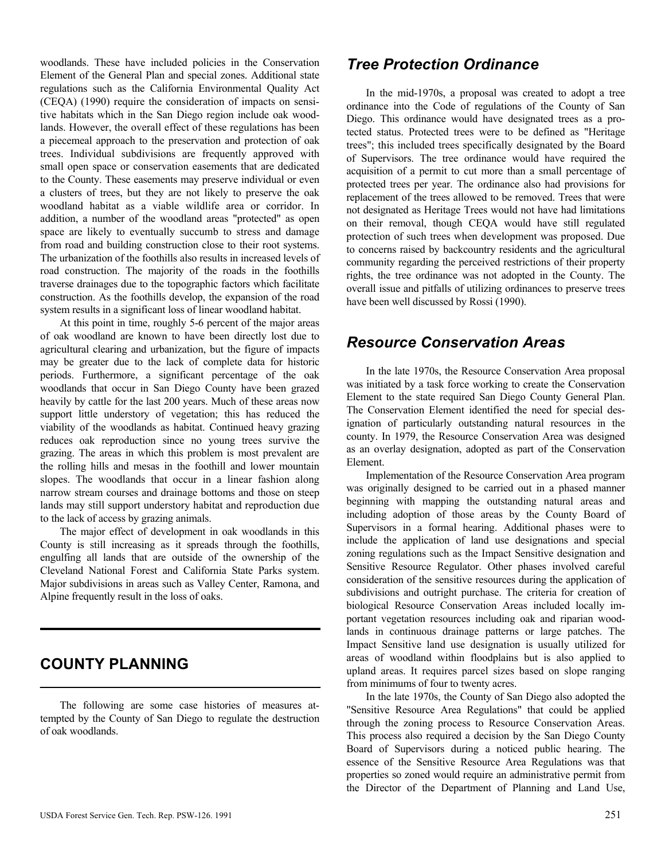woodlands. These have included policies in the Conservation Element of the General Plan and special zones. Additional state regulations such as the California Environmental Quality Act (CEQA) (1990) require the consideration of impacts on sensitive habitats which in the San Diego region include oak woodlands. However, the overall effect of these regulations has been a piecemeal approach to the preservation and protection of oak trees. Individual subdivisions are frequently approved with small open space or conservation easements that are dedicated to the County. These easements may preserve individual or even a clusters of trees, but they are not likely to preserve the oak woodland habitat as a viable wildlife area or corridor. In addition, a number of the woodland areas "protected" as open space are likely to eventually succumb to stress and damage from road and building construction close to their root systems. The urbanization of the foothills also results in increased levels of road construction. The majority of the roads in the foothills traverse drainages due to the topographic factors which facilitate construction. As the foothills develop, the expansion of the road system results in a significant loss of linear woodland habitat.

At this point in time, roughly 5-6 percent of the major areas of oak woodland are known to have been directly lost due to agricultural clearing and urbanization, but the figure of impacts may be greater due to the lack of complete data for historic periods. Furthermore, a significant percentage of the oak woodlands that occur in San Diego County have been grazed heavily by cattle for the last 200 years. Much of these areas now support little understory of vegetation; this has reduced the viability of the woodlands as habitat. Continued heavy grazing reduces oak reproduction since no young trees survive the grazing. The areas in which this problem is most prevalent are the rolling hills and mesas in the foothill and lower mountain slopes. The woodlands that occur in a linear fashion along narrow stream courses and drainage bottoms and those on steep lands may still support understory habitat and reproduction due to the lack of access by grazing animals.

The major effect of development in oak woodlands in this County is still increasing as it spreads through the foothills, engulfing all lands that are outside of the ownership of the Cleveland National Forest and California State Parks system. Major subdivisions in areas such as Valley Center, Ramona, and Alpine frequently result in the loss of oaks.

# **COUNTY PLANNING**

The following are some case histories of measures attempted by the County of San Diego to regulate the destruction of oak woodlands.

#### *Tree Protection Ordinance*

In the mid-1970s, a proposal was created to adopt a tree ordinance into the Code of regulations of the County of San Diego. This ordinance would have designated trees as a protected status. Protected trees were to be defined as "Heritage trees"; this included trees specifically designated by the Board of Supervisors. The tree ordinance would have required the acquisition of a permit to cut more than a small percentage of protected trees per year. The ordinance also had provisions for replacement of the trees allowed to be removed. Trees that were not designated as Heritage Trees would not have had limitations on their removal, though CEQA would have still regulated protection of such trees when development was proposed. Due to concerns raised by backcountry residents and the agricultural community regarding the perceived restrictions of their property rights, the tree ordinance was not adopted in the County. The overall issue and pitfalls of utilizing ordinances to preserve trees have been well discussed by Rossi (1990).

#### *Resource Conservation Areas*

In the late 1970s, the Resource Conservation Area proposal was initiated by a task force working to create the Conservation Element to the state required San Diego County General Plan. The Conservation Element identified the need for special designation of particularly outstanding natural resources in the county. In 1979, the Resource Conservation Area was designed as an overlay designation, adopted as part of the Conservation Element.

Implementation of the Resource Conservation Area program was originally designed to be carried out in a phased manner beginning with mapping the outstanding natural areas and including adoption of those areas by the County Board of Supervisors in a formal hearing. Additional phases were to include the application of land use designations and special zoning regulations such as the Impact Sensitive designation and Sensitive Resource Regulator. Other phases involved careful consideration of the sensitive resources during the application of subdivisions and outright purchase. The criteria for creation of biological Resource Conservation Areas included locally important vegetation resources including oak and riparian woodlands in continuous drainage patterns or large patches. The Impact Sensitive land use designation is usually utilized for areas of woodland within floodplains but is also applied to upland areas. It requires parcel sizes based on slope ranging from minimums of four to twenty acres.

In the late 1970s, the County of San Diego also adopted the "Sensitive Resource Area Regulations" that could be applied through the zoning process to Resource Conservation Areas. This process also required a decision by the San Diego County Board of Supervisors during a noticed public hearing. The essence of the Sensitive Resource Area Regulations was that properties so zoned would require an administrative permit from the Director of the Department of Planning and Land Use,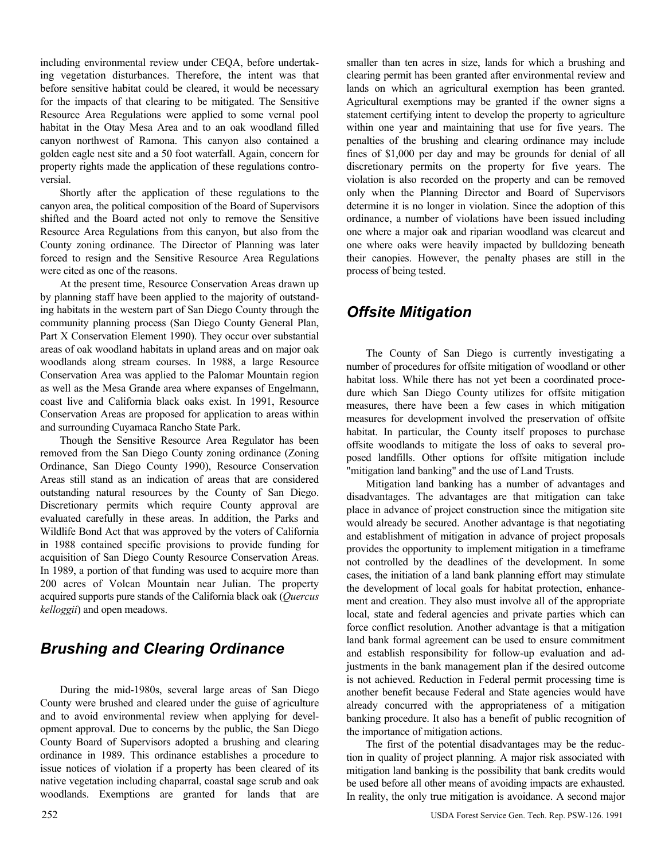including environmental review under CEQA, before undertaking vegetation disturbances. Therefore, the intent was that before sensitive habitat could be cleared, it would be necessary for the impacts of that clearing to be mitigated. The Sensitive Resource Area Regulations were applied to some vernal pool habitat in the Otay Mesa Area and to an oak woodland filled canyon northwest of Ramona. This canyon also contained a golden eagle nest site and a 50 foot waterfall. Again, concern for property rights made the application of these regulations controversial.

Shortly after the application of these regulations to the canyon area, the political composition of the Board of Supervisors shifted and the Board acted not only to remove the Sensitive Resource Area Regulations from this canyon, but also from the County zoning ordinance. The Director of Planning was later forced to resign and the Sensitive Resource Area Regulations were cited as one of the reasons.

At the present time, Resource Conservation Areas drawn up by planning staff have been applied to the majority of outstanding habitats in the western part of San Diego County through the community planning process (San Diego County General Plan, Part X Conservation Element 1990). They occur over substantial areas of oak woodland habitats in upland areas and on major oak woodlands along stream courses. In 1988, a large Resource Conservation Area was applied to the Palomar Mountain region as well as the Mesa Grande area where expanses of Engelmann, coast live and California black oaks exist. In 1991, Resource Conservation Areas are proposed for application to areas within and surrounding Cuyamaca Rancho State Park.

Though the Sensitive Resource Area Regulator has been removed from the San Diego County zoning ordinance (Zoning Ordinance, San Diego County 1990), Resource Conservation Areas still stand as an indication of areas that are considered outstanding natural resources by the County of San Diego. Discretionary permits which require County approval are evaluated carefully in these areas. In addition, the Parks and Wildlife Bond Act that was approved by the voters of California in 1988 contained specific provisions to provide funding for acquisition of San Diego County Resource Conservation Areas. In 1989, a portion of that funding was used to acquire more than 200 acres of Volcan Mountain near Julian. The property acquired supports pure stands of the California black oak (*Quercus kelloggii*) and open meadows.

## *Brushing and Clearing Ordinance*

During the mid-1980s, several large areas of San Diego County were brushed and cleared under the guise of agriculture and to avoid environmental review when applying for development approval. Due to concerns by the public, the San Diego County Board of Supervisors adopted a brushing and clearing ordinance in 1989. This ordinance establishes a procedure to issue notices of violation if a property has been cleared of its native vegetation including chaparral, coastal sage scrub and oak woodlands. Exemptions are granted for lands that are

smaller than ten acres in size, lands for which a brushing and clearing permit has been granted after environmental review and lands on which an agricultural exemption has been granted. Agricultural exemptions may be granted if the owner signs a statement certifying intent to develop the property to agriculture within one year and maintaining that use for five years. The penalties of the brushing and clearing ordinance may include fines of \$1,000 per day and may be grounds for denial of all discretionary permits on the property for five years. The violation is also recorded on the property and can be removed only when the Planning Director and Board of Supervisors determine it is no longer in violation. Since the adoption of this ordinance, a number of violations have been issued including one where a major oak and riparian woodland was clearcut and one where oaks were heavily impacted by bulldozing beneath their canopies. However, the penalty phases are still in the process of being tested.

# *Offsite Mitigation*

The County of San Diego is currently investigating a number of procedures for offsite mitigation of woodland or other habitat loss. While there has not yet been a coordinated procedure which San Diego County utilizes for offsite mitigation measures, there have been a few cases in which mitigation measures for development involved the preservation of offsite habitat. In particular, the County itself proposes to purchase offsite woodlands to mitigate the loss of oaks to several proposed landfills. Other options for offsite mitigation include "mitigation land banking" and the use of Land Trusts.

Mitigation land banking has a number of advantages and disadvantages. The advantages are that mitigation can take place in advance of project construction since the mitigation site would already be secured. Another advantage is that negotiating and establishment of mitigation in advance of project proposals provides the opportunity to implement mitigation in a timeframe not controlled by the deadlines of the development. In some cases, the initiation of a land bank planning effort may stimulate the development of local goals for habitat protection, enhancement and creation. They also must involve all of the appropriate local, state and federal agencies and private parties which can force conflict resolution. Another advantage is that a mitigation land bank formal agreement can be used to ensure commitment and establish responsibility for follow-up evaluation and adjustments in the bank management plan if the desired outcome is not achieved. Reduction in Federal permit processing time is another benefit because Federal and State agencies would have already concurred with the appropriateness of a mitigation banking procedure. It also has a benefit of public recognition of the importance of mitigation actions.

The first of the potential disadvantages may be the reduction in quality of project planning. A major risk associated with mitigation land banking is the possibility that bank credits would be used before all other means of avoiding impacts are exhausted. In reality, the only true mitigation is avoidance. A second major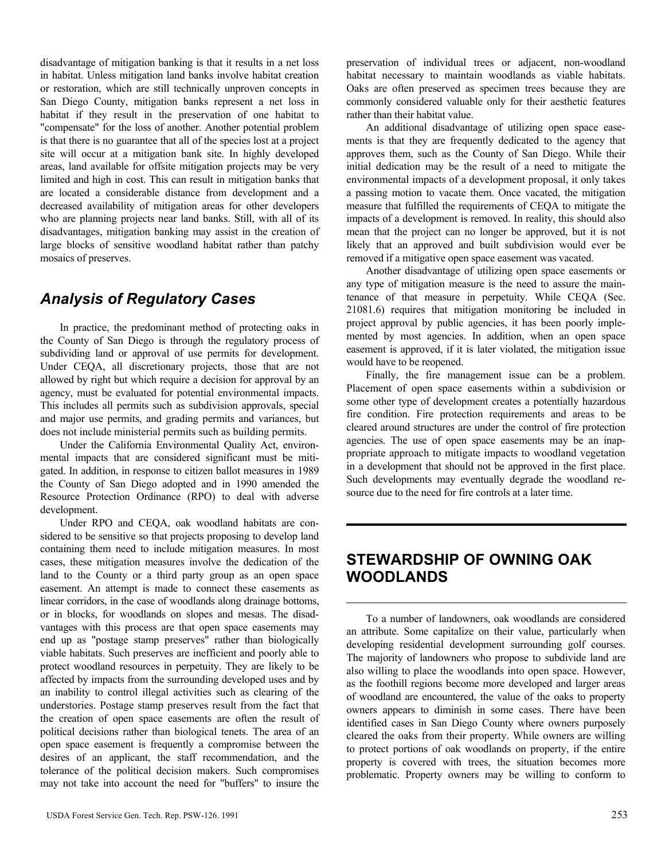disadvantage of mitigation banking is that it results in a net loss in habitat. Unless mitigation land banks involve habitat creation or restoration, which are still technically unproven concepts in San Diego County, mitigation banks represent a net loss in habitat if they result in the preservation of one habitat to "compensate" for the loss of another. Another potential problem is that there is no guarantee that all of the species lost at a project site will occur at a mitigation bank site. In highly developed areas, land available for offsite mitigation projects may be very limited and high in cost. This can result in mitigation banks that are located a considerable distance from development and a decreased availability of mitigation areas for other developers who are planning projects near land banks. Still, with all of its disadvantages, mitigation banking may assist in the creation of large blocks of sensitive woodland habitat rather than patchy mosaics of preserves.

#### *Analysis of Regulatory Cases*

In practice, the predominant method of protecting oaks in the County of San Diego is through the regulatory process of subdividing land or approval of use permits for development. Under CEQA, all discretionary projects, those that are not allowed by right but which require a decision for approval by an agency, must be evaluated for potential environmental impacts. This includes all permits such as subdivision approvals, special and major use permits, and grading permits and variances, but does not include ministerial permits such as building permits.

Under the California Environmental Quality Act, environmental impacts that are considered significant must be mitigated. In addition, in response to citizen ballot measures in 1989 the County of San Diego adopted and in 1990 amended the Resource Protection Ordinance (RPO) to deal with adverse development.

Under RPO and CEQA, oak woodland habitats are considered to be sensitive so that projects proposing to develop land containing them need to include mitigation measures. In most cases, these mitigation measures involve the dedication of the land to the County or a third party group as an open space easement. An attempt is made to connect these easements as linear corridors, in the case of woodlands along drainage bottoms, or in blocks, for woodlands on slopes and mesas. The disadvantages with this process are that open space easements may end up as "postage stamp preserves" rather than biologically viable habitats. Such preserves are inefficient and poorly able to protect woodland resources in perpetuity. They are likely to be affected by impacts from the surrounding developed uses and by an inability to control illegal activities such as clearing of the understories. Postage stamp preserves result from the fact that the creation of open space easements are often the result of political decisions rather than biological tenets. The area of an open space easement is frequently a compromise between the desires of an applicant, the staff recommendation, and the tolerance of the political decision makers. Such compromises may not take into account the need for "buffers" to insure the preservation of individual trees or adjacent, non-woodland habitat necessary to maintain woodlands as viable habitats. Oaks are often preserved as specimen trees because they are commonly considered valuable only for their aesthetic features rather than their habitat value.

An additional disadvantage of utilizing open space easements is that they are frequently dedicated to the agency that approves them, such as the County of San Diego. While their initial dedication may be the result of a need to mitigate the environmental impacts of a development proposal, it only takes a passing motion to vacate them. Once vacated, the mitigation measure that fulfilled the requirements of CEQA to mitigate the impacts of a development is removed. In reality, this should also mean that the project can no longer be approved, but it is not likely that an approved and built subdivision would ever be removed if a mitigative open space easement was vacated.

Another disadvantage of utilizing open space easements or any type of mitigation measure is the need to assure the maintenance of that measure in perpetuity. While CEQA (Sec. 21081.6) requires that mitigation monitoring be included in project approval by public agencies, it has been poorly implemented by most agencies. In addition, when an open space easement is approved, if it is later violated, the mitigation issue would have to be reopened.

Finally, the fire management issue can be a problem. Placement of open space easements within a subdivision or some other type of development creates a potentially hazardous fire condition. Fire protection requirements and areas to be cleared around structures are under the control of fire protection agencies. The use of open space easements may be an inappropriate approach to mitigate impacts to woodland vegetation in a development that should not be approved in the first place. Such developments may eventually degrade the woodland resource due to the need for fire controls at a later time.

### **STEWARDSHIP OF OWNING OAK WOODLANDS**

To a number of landowners, oak woodlands are considered an attribute. Some capitalize on their value, particularly when developing residential development surrounding golf courses. The majority of landowners who propose to subdivide land are also willing to place the woodlands into open space. However, as the foothill regions become more developed and larger areas of woodland are encountered, the value of the oaks to property owners appears to diminish in some cases. There have been identified cases in San Diego County where owners purposely cleared the oaks from their property. While owners are willing to protect portions of oak woodlands on property, if the entire property is covered with trees, the situation becomes more problematic. Property owners may be willing to conform to